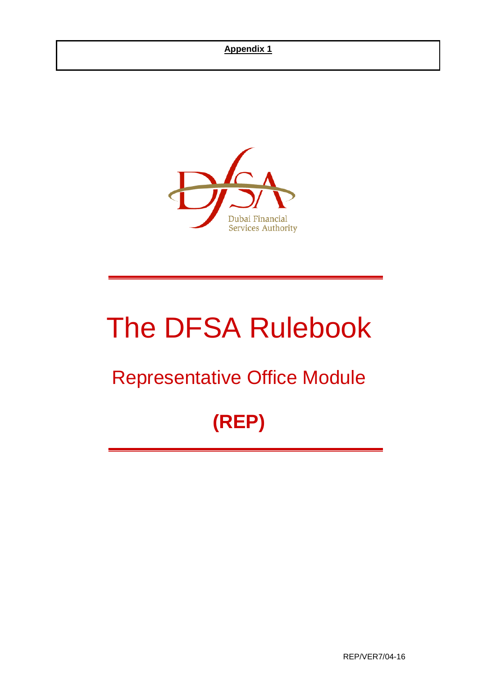### **Appendix 1**



# The DFSA Rulebook

## Representative Office Module

## **(REP)**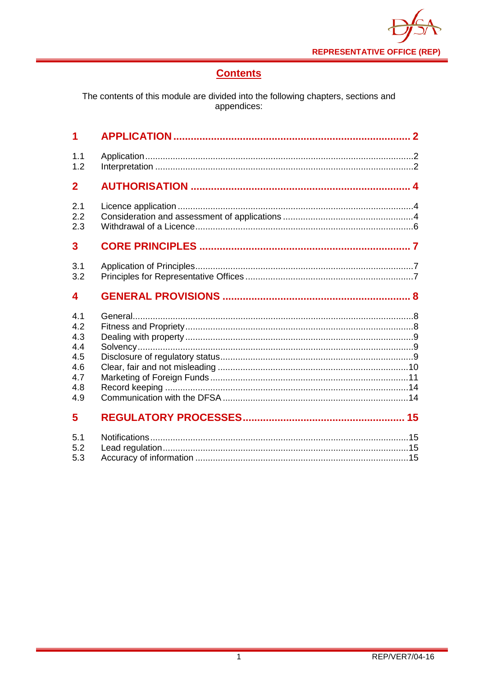

## **Contents**

The contents of this module are divided into the following chapters, sections and<br>appendices:

| $\overline{\mathbf{1}}$ |  |
|-------------------------|--|
| 1.1                     |  |
| 1.2                     |  |
| $\overline{2}$          |  |
| 2.1                     |  |
| 2.2                     |  |
| 2.3                     |  |
| 3                       |  |
| 3.1                     |  |
| 3.2                     |  |
| 4                       |  |
| 4.1                     |  |
| 4.2                     |  |
| 4.3                     |  |
| 4.4                     |  |
| 4.5                     |  |
| 4.6                     |  |
| 4.7                     |  |
| 4.8                     |  |
| 4.9                     |  |
| 5                       |  |
| 5.1                     |  |
| 5.2                     |  |
| 5.3                     |  |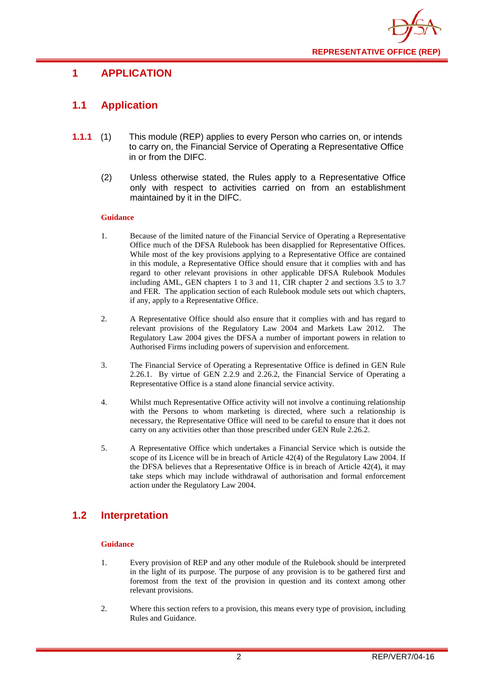

## <span id="page-2-0"></span>**1 APPLICATION**

## <span id="page-2-1"></span>**1.1 Application**

- **1.1.1** (1) This module (REP) applies to every Person who carries on, or intends to carry on, the Financial Service of Operating a Representative Office in or from the DIFC.
	- (2) Unless otherwise stated, the Rules apply to a Representative Office only with respect to activities carried on from an establishment maintained by it in the DIFC.

#### **Guidance**

- 1. Because of the limited nature of the Financial Service of Operating a Representative Office much of the DFSA Rulebook has been disapplied for Representative Offices. While most of the key provisions applying to a Representative Office are contained in this module, a Representative Office should ensure that it complies with and has regard to other relevant provisions in other applicable DFSA Rulebook Modules including AML, GEN chapters 1 to 3 and 11, CIR chapter 2 and sections 3.5 to 3.7 and FER. The application section of each Rulebook module sets out which chapters, if any, apply to a Representative Office.
- 2. A Representative Office should also ensure that it complies with and has regard to relevant provisions of the Regulatory Law 2004 and Markets Law 2012. The Regulatory Law 2004 gives the DFSA a number of important powers in relation to Authorised Firms including powers of supervision and enforcement.
- 3. The Financial Service of Operating a Representative Office is defined in GEN Rule 2.26.1. By virtue of GEN 2.2.9 and 2.26.2, the Financial Service of Operating a Representative Office is a stand alone financial service activity.
- 4. Whilst much Representative Office activity will not involve a continuing relationship with the Persons to whom marketing is directed, where such a relationship is necessary, the Representative Office will need to be careful to ensure that it does not carry on any activities other than those prescribed under GEN Rule 2.26.2.
- 5. A Representative Office which undertakes a Financial Service which is outside the scope of its Licence will be in breach of Article 42(4) of the Regulatory Law 2004. If the DFSA believes that a Representative Office is in breach of Article 42(4), it may take steps which may include withdrawal of authorisation and formal enforcement action under the Regulatory Law 2004.

## <span id="page-2-2"></span>**1.2 Interpretation**

#### **Guidance**

- 1. Every provision of REP and any other module of the Rulebook should be interpreted in the light of its purpose. The purpose of any provision is to be gathered first and foremost from the text of the provision in question and its context among other relevant provisions.
- 2. Where this section refers to a provision, this means every type of provision, including Rules and Guidance.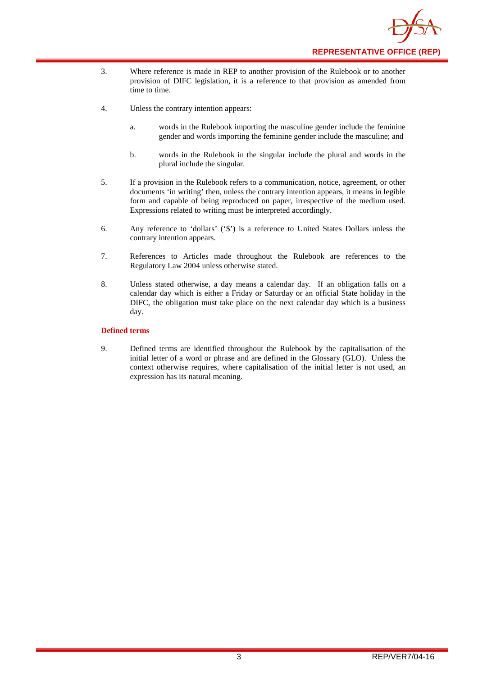

- 3. Where reference is made in REP to another provision of the Rulebook or to another provision of DIFC legislation, it is a reference to that provision as amended from time to time.
- 4. Unless the contrary intention appears:
	- a. words in the Rulebook importing the masculine gender include the feminine gender and words importing the feminine gender include the masculine; and
	- b. words in the Rulebook in the singular include the plural and words in the plural include the singular.
- 5. If a provision in the Rulebook refers to a communication, notice, agreement, or other documents 'in writing' then, unless the contrary intention appears, it means in legible form and capable of being reproduced on paper, irrespective of the medium used. Expressions related to writing must be interpreted accordingly.
- 6. Any reference to 'dollars' ('\$') is a reference to United States Dollars unless the contrary intention appears.
- 7. References to Articles made throughout the Rulebook are references to the Regulatory Law 2004 unless otherwise stated.
- 8. Unless stated otherwise, a day means a calendar day. If an obligation falls on a calendar day which is either a Friday or Saturday or an official State holiday in the DIFC, the obligation must take place on the next calendar day which is a business day.

#### **Defined terms**

9. Defined terms are identified throughout the Rulebook by the capitalisation of the initial letter of a word or phrase and are defined in the Glossary (GLO). Unless the context otherwise requires, where capitalisation of the initial letter is not used, an expression has its natural meaning.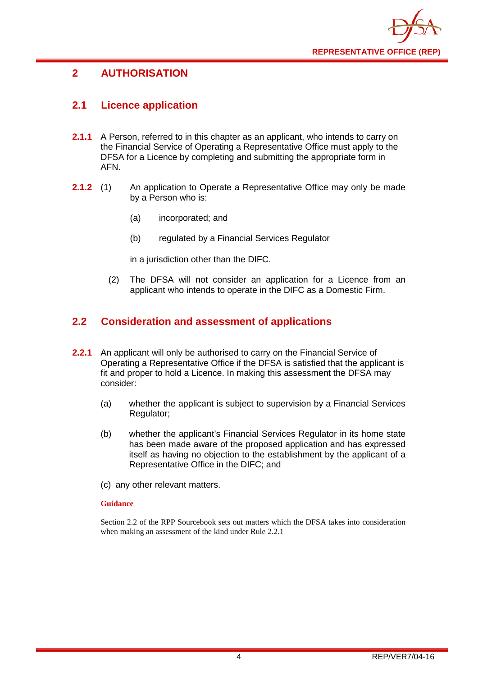

## <span id="page-4-0"></span>**2 AUTHORISATION**

## <span id="page-4-1"></span>**2.1 Licence application**

- **2.1.1** A Person, referred to in this chapter as an applicant, who intends to carry on the Financial Service of Operating a Representative Office must apply to the DFSA for a Licence by completing and submitting the appropriate form in AFN.
- **2.1.2** (1) An application to Operate a Representative Office may only be made by a Person who is:
	- (a) incorporated; and
	- (b) regulated by a Financial Services Regulator

in a jurisdiction other than the DIFC.

(2) The DFSA will not consider an application for a Licence from an applicant who intends to operate in the DIFC as a Domestic Firm.

#### <span id="page-4-2"></span>**2.2 Consideration and assessment of applications**

- **2.2.1** An applicant will only be authorised to carry on the Financial Service of Operating a Representative Office if the DFSA is satisfied that the applicant is fit and proper to hold a Licence. In making this assessment the DFSA may consider:
	- (a) whether the applicant is subject to supervision by a Financial Services Regulator;
	- (b) whether the applicant's Financial Services Regulator in its home state has been made aware of the proposed application and has expressed itself as having no objection to the establishment by the applicant of a Representative Office in the DIFC; and
	- (c) any other relevant matters.

#### **Guidance**

Section 2.2 of the RPP Sourcebook sets out matters which the DFSA takes into consideration when making an assessment of the kind under Rule 2.2.1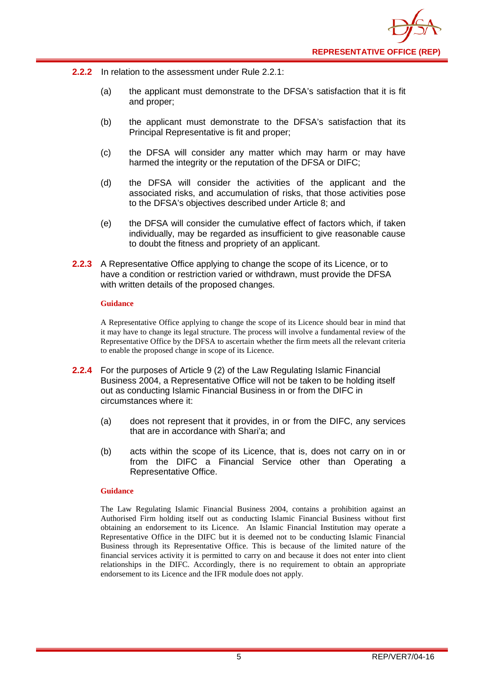

- **2.2.2** In relation to the assessment under Rule 2.2.1:
	- (a) the applicant must demonstrate to the DFSA's satisfaction that it is fit and proper;
	- (b) the applicant must demonstrate to the DFSA's satisfaction that its Principal Representative is fit and proper;
	- (c) the DFSA will consider any matter which may harm or may have harmed the integrity or the reputation of the DFSA or DIFC;
	- (d) the DFSA will consider the activities of the applicant and the associated risks, and accumulation of risks, that those activities pose to the DFSA's objectives described under Article 8; and
	- (e) the DFSA will consider the cumulative effect of factors which, if taken individually, may be regarded as insufficient to give reasonable cause to doubt the fitness and propriety of an applicant.
- **2.2.3** A Representative Office applying to change the scope of its Licence, or to have a condition or restriction varied or withdrawn, must provide the DFSA with written details of the proposed changes.

#### **Guidance**

A Representative Office applying to change the scope of its Licence should bear in mind that it may have to change its legal structure. The process will involve a fundamental review of the Representative Office by the DFSA to ascertain whether the firm meets all the relevant criteria to enable the proposed change in scope of its Licence.

- **2.2.4** For the purposes of Article 9 (2) of the Law Regulating Islamic Financial Business 2004, a Representative Office will not be taken to be holding itself out as conducting Islamic Financial Business in or from the DIFC in circumstances where it:
	- (a) does not represent that it provides, in or from the DIFC, any services that are in accordance with Shari'a; and
	- (b) acts within the scope of its Licence, that is, does not carry on in or from the DIFC a Financial Service other than Operating a Representative Office.

#### **Guidance**

The Law Regulating Islamic Financial Business 2004, contains a prohibition against an Authorised Firm holding itself out as conducting Islamic Financial Business without first obtaining an endorsement to its Licence. An Islamic Financial Institution may operate a Representative Office in the DIFC but it is deemed not to be conducting Islamic Financial Business through its Representative Office. This is because of the limited nature of the financial services activity it is permitted to carry on and because it does not enter into client relationships in the DIFC. Accordingly, there is no requirement to obtain an appropriate endorsement to its Licence and the IFR module does not apply.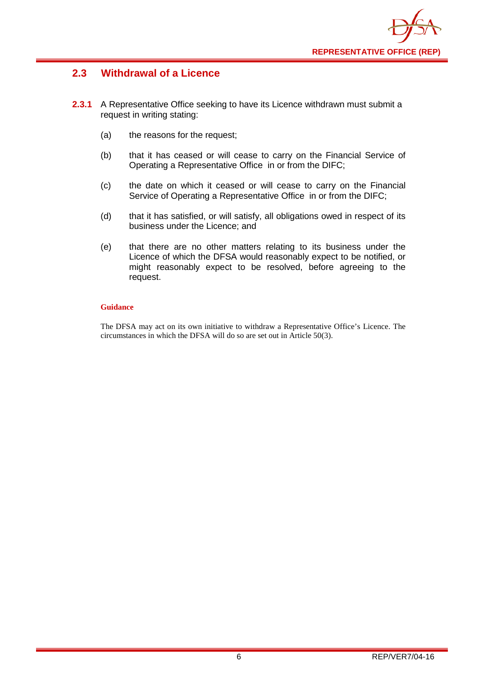

## <span id="page-6-0"></span>**2.3 Withdrawal of a Licence**

- **2.3.1** A Representative Office seeking to have its Licence withdrawn must submit a request in writing stating:
	- (a) the reasons for the request;
	- (b) that it has ceased or will cease to carry on the Financial Service of Operating a Representative Office in or from the DIFC;
	- (c) the date on which it ceased or will cease to carry on the Financial Service of Operating a Representative Office in or from the DIFC;
	- (d) that it has satisfied, or will satisfy, all obligations owed in respect of its business under the Licence; and
	- (e) that there are no other matters relating to its business under the Licence of which the DFSA would reasonably expect to be notified, or might reasonably expect to be resolved, before agreeing to the request.

#### **Guidance**

The DFSA may act on its own initiative to withdraw a Representative Office's Licence. The circumstances in which the DFSA will do so are set out in Article 50(3).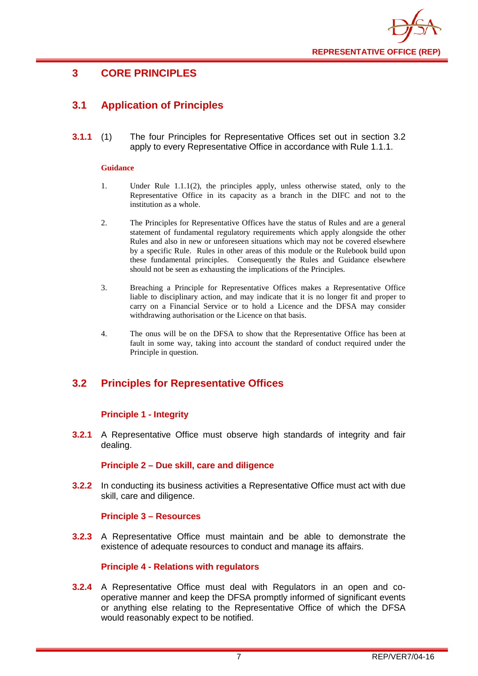

## <span id="page-7-0"></span>**3 CORE PRINCIPLES**

## <span id="page-7-1"></span>**3.1 Application of Principles**

**3.1.1** (1) The four Principles for Representative Offices set out in section 3.2 apply to every Representative Office in accordance with Rule 1.1.1.

#### **Guidance**

- 1. Under Rule 1.1.1(2), the principles apply, unless otherwise stated, only to the Representative Office in its capacity as a branch in the DIFC and not to the institution as a whole.
- 2. The Principles for Representative Offices have the status of Rules and are a general statement of fundamental regulatory requirements which apply alongside the other Rules and also in new or unforeseen situations which may not be covered elsewhere by a specific Rule. Rules in other areas of this module or the Rulebook build upon these fundamental principles. Consequently the Rules and Guidance elsewhere should not be seen as exhausting the implications of the Principles.
- 3. Breaching a Principle for Representative Offices makes a Representative Office liable to disciplinary action, and may indicate that it is no longer fit and proper to carry on a Financial Service or to hold a Licence and the DFSA may consider withdrawing authorisation or the Licence on that basis.
- 4. The onus will be on the DFSA to show that the Representative Office has been at fault in some way, taking into account the standard of conduct required under the Principle in question.

## <span id="page-7-2"></span>**3.2 Principles for Representative Offices**

#### **Principle 1 - Integrity**

**3.2.1** A Representative Office must observe high standards of integrity and fair dealing.

#### **Principle 2 – Due skill, care and diligence**

**3.2.2** In conducting its business activities a Representative Office must act with due skill, care and diligence.

#### **Principle 3 – Resources**

**3.2.3** A Representative Office must maintain and be able to demonstrate the existence of adequate resources to conduct and manage its affairs.

#### **Principle 4 - Relations with regulators**

**3.2.4** A Representative Office must deal with Regulators in an open and cooperative manner and keep the DFSA promptly informed of significant events or anything else relating to the Representative Office of which the DFSA would reasonably expect to be notified.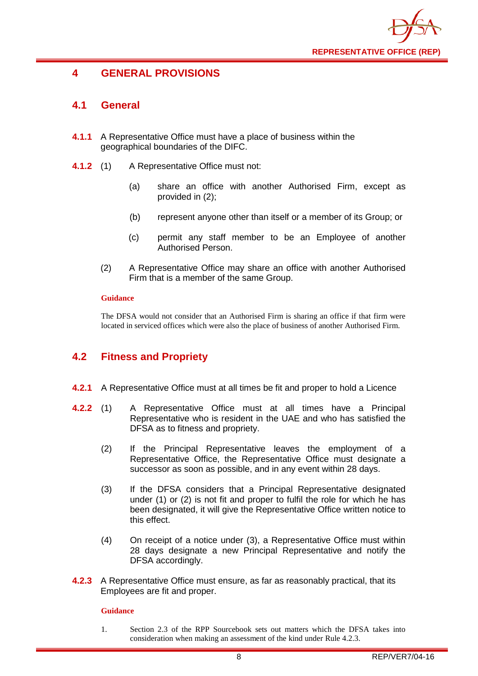

## <span id="page-8-0"></span>**4 GENERAL PROVISIONS**

## <span id="page-8-1"></span>**4.1 General**

- **4.1.1** A Representative Office must have a place of business within the geographical boundaries of the DIFC.
- **4.1.2** (1) A Representative Office must not:
	- (a) share an office with another Authorised Firm, except as provided in (2);
	- (b) represent anyone other than itself or a member of its Group; or
	- (c) permit any staff member to be an Employee of another Authorised Person.
	- (2) A Representative Office may share an office with another Authorised Firm that is a member of the same Group.

#### **Guidance**

The DFSA would not consider that an Authorised Firm is sharing an office if that firm were located in serviced offices which were also the place of business of another Authorised Firm.

## <span id="page-8-2"></span>**4.2 Fitness and Propriety**

- **4.2.1** A Representative Office must at all times be fit and proper to hold a Licence
- **4.2.2** (1) A Representative Office must at all times have a Principal Representative who is resident in the UAE and who has satisfied the DFSA as to fitness and propriety.
	- (2) If the Principal Representative leaves the employment of a Representative Office, the Representative Office must designate a successor as soon as possible, and in any event within 28 days.
	- (3) If the DFSA considers that a Principal Representative designated under (1) or (2) is not fit and proper to fulfil the role for which he has been designated, it will give the Representative Office written notice to this effect.
	- (4) On receipt of a notice under (3), a Representative Office must within 28 days designate a new Principal Representative and notify the DFSA accordingly.
- **4.2.3** A Representative Office must ensure, as far as reasonably practical, that its Employees are fit and proper.

#### **Guidance**

1. Section 2.3 of the RPP Sourcebook sets out matters which the DFSA takes into consideration when making an assessment of the kind under Rule 4.2.3.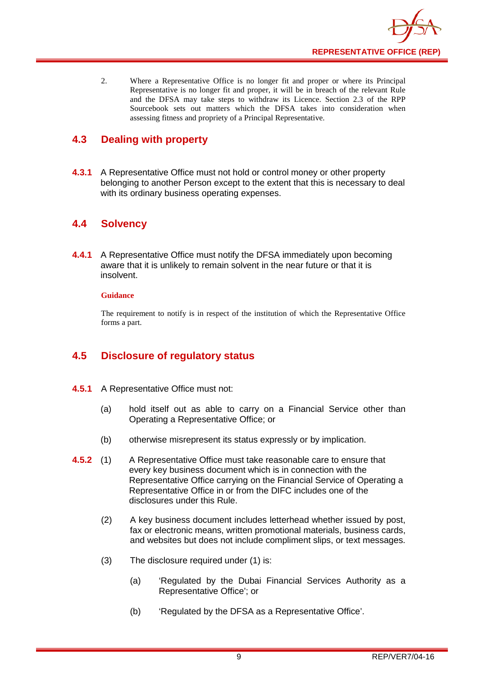

2. Where a Representative Office is no longer fit and proper or where its Principal Representative is no longer fit and proper, it will be in breach of the relevant Rule and the DFSA may take steps to withdraw its Licence. Section 2.3 of the RPP Sourcebook sets out matters which the DFSA takes into consideration when assessing fitness and propriety of a Principal Representative.

## <span id="page-9-0"></span>**4.3 Dealing with property**

**4.3.1** A Representative Office must not hold or control money or other property belonging to another Person except to the extent that this is necessary to deal with its ordinary business operating expenses.

## <span id="page-9-1"></span>**4.4 Solvency**

**4.4.1** A Representative Office must notify the DFSA immediately upon becoming aware that it is unlikely to remain solvent in the near future or that it is insolvent.

#### **Guidance**

The requirement to notify is in respect of the institution of which the Representative Office forms a part.

## <span id="page-9-2"></span>**4.5 Disclosure of regulatory status**

- **4.5.1** A Representative Office must not:
	- (a) hold itself out as able to carry on a Financial Service other than Operating a Representative Office; or
	- (b) otherwise misrepresent its status expressly or by implication.
- **4.5.2** (1) A Representative Office must take reasonable care to ensure that every key business document which is in connection with the Representative Office carrying on the Financial Service of Operating a Representative Office in or from the DIFC includes one of the disclosures under this Rule.
	- (2) A key business document includes letterhead whether issued by post, fax or electronic means, written promotional materials, business cards, and websites but does not include compliment slips, or text messages.
	- (3) The disclosure required under (1) is:
		- (a) 'Regulated by the Dubai Financial Services Authority as a Representative Office'; or
		- (b) 'Regulated by the DFSA as a Representative Office'.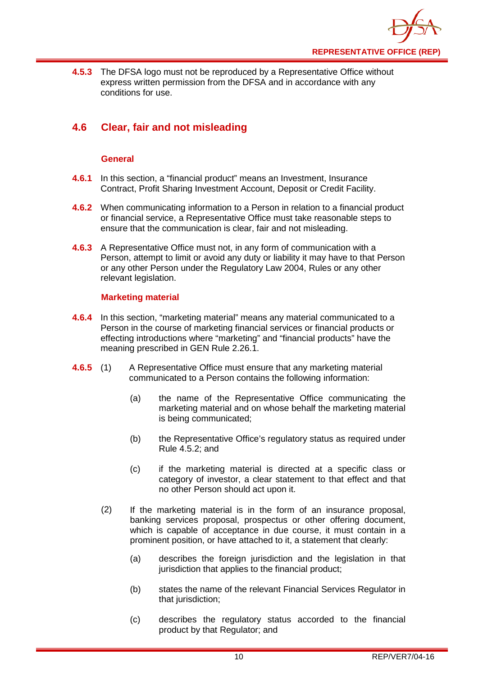

**4.5.3** The DFSA logo must not be reproduced by a Representative Office without express written permission from the DFSA and in accordance with any conditions for use.

## <span id="page-10-0"></span>**4.6 Clear, fair and not misleading**

#### **General**

- **4.6.1** In this section, a "financial product" means an Investment, Insurance Contract, Profit Sharing Investment Account, Deposit or Credit Facility.
- **4.6.2** When communicating information to a Person in relation to a financial product or financial service, a Representative Office must take reasonable steps to ensure that the communication is clear, fair and not misleading.
- **4.6.3** A Representative Office must not, in any form of communication with a Person, attempt to limit or avoid any duty or liability it may have to that Person or any other Person under the Regulatory Law 2004, Rules or any other relevant legislation.

#### **Marketing material**

- **4.6.4** In this section, "marketing material" means any material communicated to a Person in the course of marketing financial services or financial products or effecting introductions where "marketing" and "financial products" have the meaning prescribed in GEN Rule 2.26.1.
- **4.6.5** (1) A Representative Office must ensure that any marketing material communicated to a Person contains the following information:
	- (a) the name of the Representative Office communicating the marketing material and on whose behalf the marketing material is being communicated;
	- (b) the Representative Office's regulatory status as required under Rule 4.5.2; and
	- (c) if the marketing material is directed at a specific class or category of investor, a clear statement to that effect and that no other Person should act upon it.
	- (2) If the marketing material is in the form of an insurance proposal, banking services proposal, prospectus or other offering document, which is capable of acceptance in due course, it must contain in a prominent position, or have attached to it, a statement that clearly:
		- (a) describes the foreign jurisdiction and the legislation in that jurisdiction that applies to the financial product;
		- (b) states the name of the relevant Financial Services Regulator in that jurisdiction;
		- (c) describes the regulatory status accorded to the financial product by that Regulator; and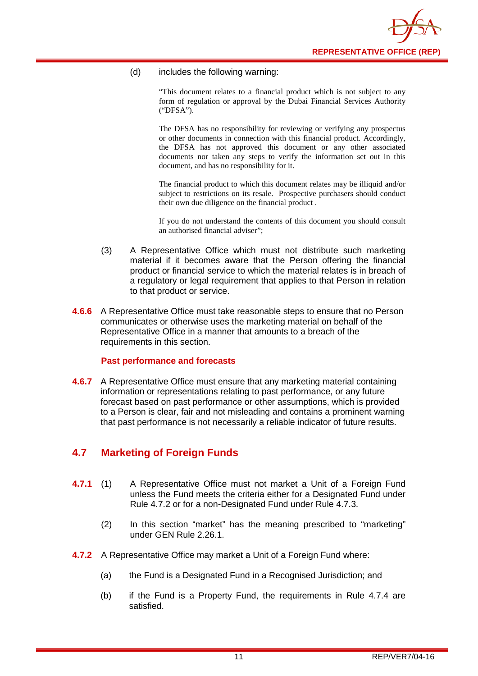

#### (d) includes the following warning:

"This document relates to a financial product which is not subject to any form of regulation or approval by the Dubai Financial Services Authority ("DFSA").

The DFSA has no responsibility for reviewing or verifying any prospectus or other documents in connection with this financial product. Accordingly, the DFSA has not approved this document or any other associated documents nor taken any steps to verify the information set out in this document, and has no responsibility for it.

The financial product to which this document relates may be illiquid and/or subject to restrictions on its resale. Prospective purchasers should conduct their own due diligence on the financial product .

If you do not understand the contents of this document you should consult an authorised financial adviser";

- (3) A Representative Office which must not distribute such marketing material if it becomes aware that the Person offering the financial product or financial service to which the material relates is in breach of a regulatory or legal requirement that applies to that Person in relation to that product or service.
- **4.6.6** A Representative Office must take reasonable steps to ensure that no Person communicates or otherwise uses the marketing material on behalf of the Representative Office in a manner that amounts to a breach of the requirements in this section.

#### **Past performance and forecasts**

**4.6.7** A Representative Office must ensure that any marketing material containing information or representations relating to past performance, or any future forecast based on past performance or other assumptions, which is provided to a Person is clear, fair and not misleading and contains a prominent warning that past performance is not necessarily a reliable indicator of future results.

#### <span id="page-11-0"></span>**4.7 Marketing of Foreign Funds**

- **4.7.1** (1) A Representative Office must not market a Unit of a Foreign Fund unless the Fund meets the criteria either for a Designated Fund under Rule 4.7.2 or for a non-Designated Fund under Rule 4.7.3.
	- (2) In this section "market" has the meaning prescribed to "marketing" under GEN Rule 2.26.1.
- **4.7.2** A Representative Office may market a Unit of a Foreign Fund where:
	- (a) the Fund is a Designated Fund in a Recognised Jurisdiction; and
	- (b) if the Fund is a Property Fund, the requirements in Rule 4.7.4 are satisfied.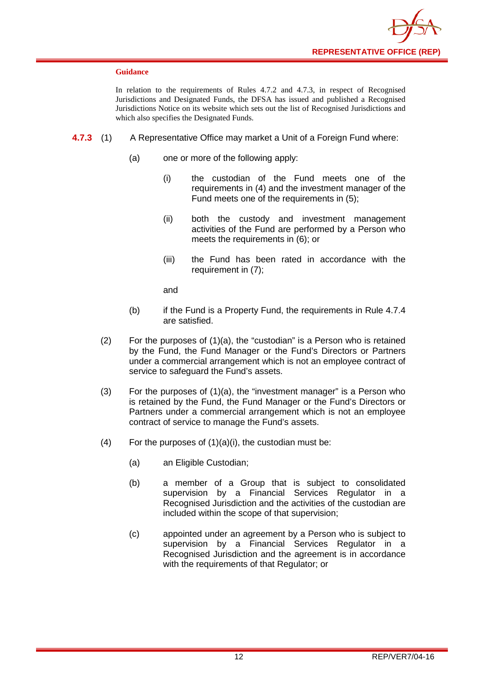

#### **Guidance**

In relation to the requirements of Rules 4.7.2 and 4.7.3, in respect of Recognised Jurisdictions and Designated Funds, the DFSA has issued and published a Recognised Jurisdictions Notice on its website which sets out the list of Recognised Jurisdictions and which also specifies the Designated Funds.

- **4.7.3** (1) A Representative Office may market a Unit of a Foreign Fund where:
	- (a) one or more of the following apply:
		- (i) the custodian of the Fund meets one of the requirements in (4) and the investment manager of the Fund meets one of the requirements in (5);
		- (ii) both the custody and investment management activities of the Fund are performed by a Person who meets the requirements in (6); or
		- (iii) the Fund has been rated in accordance with the requirement in (7);

and

- (b) if the Fund is a Property Fund, the requirements in Rule 4.7.4 are satisfied.
- (2) For the purposes of (1)(a), the "custodian" is a Person who is retained by the Fund, the Fund Manager or the Fund's Directors or Partners under a commercial arrangement which is not an employee contract of service to safeguard the Fund's assets.
- (3) For the purposes of (1)(a), the "investment manager" is a Person who is retained by the Fund, the Fund Manager or the Fund's Directors or Partners under a commercial arrangement which is not an employee contract of service to manage the Fund's assets.
- (4) For the purposes of  $(1)(a)(i)$ , the custodian must be:
	- (a) an Eligible Custodian;
	- (b) a member of a Group that is subject to consolidated supervision by a Financial Services Regulator in a Recognised Jurisdiction and the activities of the custodian are included within the scope of that supervision;
	- (c) appointed under an agreement by a Person who is subject to supervision by a Financial Services Regulator in a Recognised Jurisdiction and the agreement is in accordance with the requirements of that Regulator; or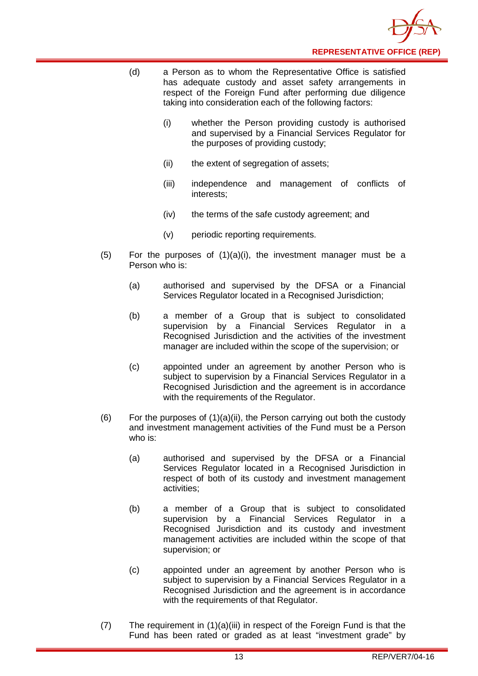

- (d) a Person as to whom the Representative Office is satisfied has adequate custody and asset safety arrangements in respect of the Foreign Fund after performing due diligence taking into consideration each of the following factors:
	- (i) whether the Person providing custody is authorised and supervised by a Financial Services Regulator for the purposes of providing custody;
	- (ii) the extent of segregation of assets;
	- (iii) independence and management of conflicts of interests;
	- (iv) the terms of the safe custody agreement; and
	- (v) periodic reporting requirements.
- $(5)$  For the purposes of  $(1)(a)(i)$ , the investment manager must be a Person who is:
	- (a) authorised and supervised by the DFSA or a Financial Services Regulator located in a Recognised Jurisdiction;
	- (b) a member of a Group that is subject to consolidated supervision by a Financial Services Regulator in a Recognised Jurisdiction and the activities of the investment manager are included within the scope of the supervision; or
	- (c) appointed under an agreement by another Person who is subject to supervision by a Financial Services Regulator in a Recognised Jurisdiction and the agreement is in accordance with the requirements of the Regulator.
- (6) For the purposes of  $(1)(a)(ii)$ , the Person carrying out both the custody and investment management activities of the Fund must be a Person who is:
	- (a) authorised and supervised by the DFSA or a Financial Services Regulator located in a Recognised Jurisdiction in respect of both of its custody and investment management activities;
	- (b) a member of a Group that is subject to consolidated supervision by a Financial Services Regulator in a Recognised Jurisdiction and its custody and investment management activities are included within the scope of that supervision; or
	- (c) appointed under an agreement by another Person who is subject to supervision by a Financial Services Regulator in a Recognised Jurisdiction and the agreement is in accordance with the requirements of that Regulator.
- (7) The requirement in (1)(a)(iii) in respect of the Foreign Fund is that the Fund has been rated or graded as at least "investment grade" by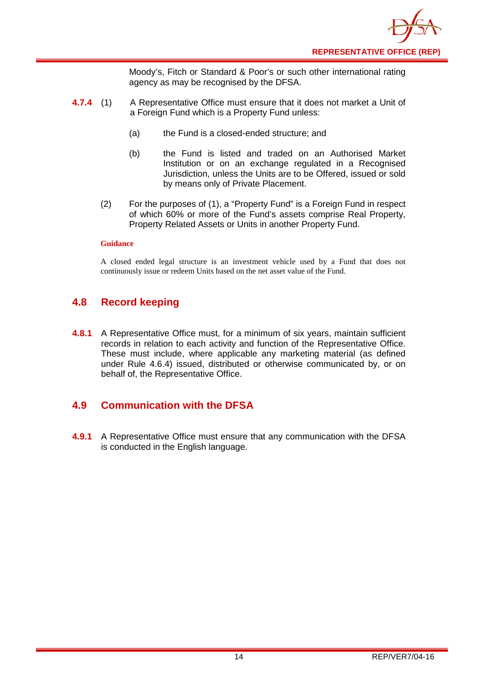

Moody's, Fitch or Standard & Poor's or such other international rating agency as may be recognised by the DFSA.

- **4.7.4** (1) A Representative Office must ensure that it does not market a Unit of a Foreign Fund which is a Property Fund unless:
	- (a) the Fund is a closed-ended structure; and
	- (b) the Fund is listed and traded on an Authorised Market Institution or on an exchange regulated in a Recognised Jurisdiction, unless the Units are to be Offered, issued or sold by means only of Private Placement.
	- (2) For the purposes of (1), a "Property Fund" is a Foreign Fund in respect of which 60% or more of the Fund's assets comprise Real Property, Property Related Assets or Units in another Property Fund.

#### **Guidance**

A closed ended legal structure is an investment vehicle used by a Fund that does not continuously issue or redeem Units based on the net asset value of the Fund.

#### <span id="page-14-0"></span>**4.8 Record keeping**

**4.8.1** A Representative Office must, for a minimum of six years, maintain sufficient records in relation to each activity and function of the Representative Office. These must include, where applicable any marketing material (as defined under Rule 4.6.4) issued, distributed or otherwise communicated by, or on behalf of, the Representative Office.

#### <span id="page-14-1"></span>**4.9 Communication with the DFSA**

**4.9.1** A Representative Office must ensure that any communication with the DFSA is conducted in the English language.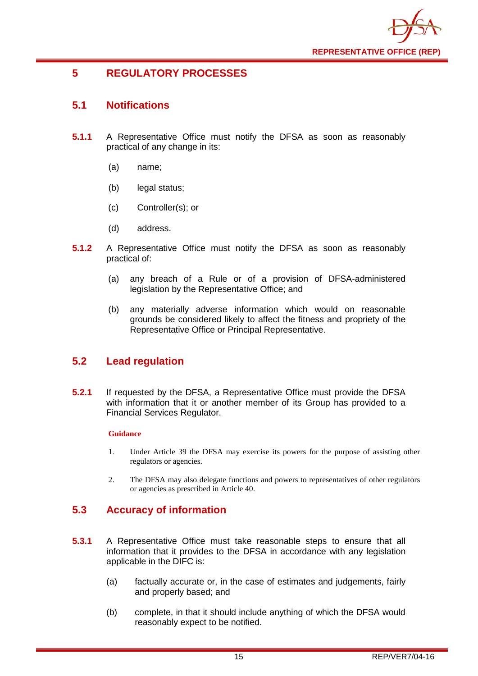

## <span id="page-15-0"></span>**5 REGULATORY PROCESSES**

## <span id="page-15-1"></span>**5.1 Notifications**

- **5.1.1** A Representative Office must notify the DFSA as soon as reasonably practical of any change in its:
	- (a) name;
	- (b) legal status;
	- (c) Controller(s); or
	- (d) address.
- **5.1.2** A Representative Office must notify the DFSA as soon as reasonably practical of:
	- (a) any breach of a Rule or of a provision of DFSA-administered legislation by the Representative Office; and
	- (b) any materially adverse information which would on reasonable grounds be considered likely to affect the fitness and propriety of the Representative Office or Principal Representative.

## <span id="page-15-2"></span>**5.2 Lead regulation**

**5.2.1** If requested by the DFSA, a Representative Office must provide the DFSA with information that it or another member of its Group has provided to a Financial Services Regulator.

#### **Guidance**

- 1. Under Article 39 the DFSA may exercise its powers for the purpose of assisting other regulators or agencies.
- 2. The DFSA may also delegate functions and powers to representatives of other regulators or agencies as prescribed in Article 40.

## <span id="page-15-3"></span>**5.3 Accuracy of information**

- **5.3.1** A Representative Office must take reasonable steps to ensure that all information that it provides to the DFSA in accordance with any legislation applicable in the DIFC is:
	- (a) factually accurate or, in the case of estimates and judgements, fairly and properly based; and
	- (b) complete, in that it should include anything of which the DFSA would reasonably expect to be notified.